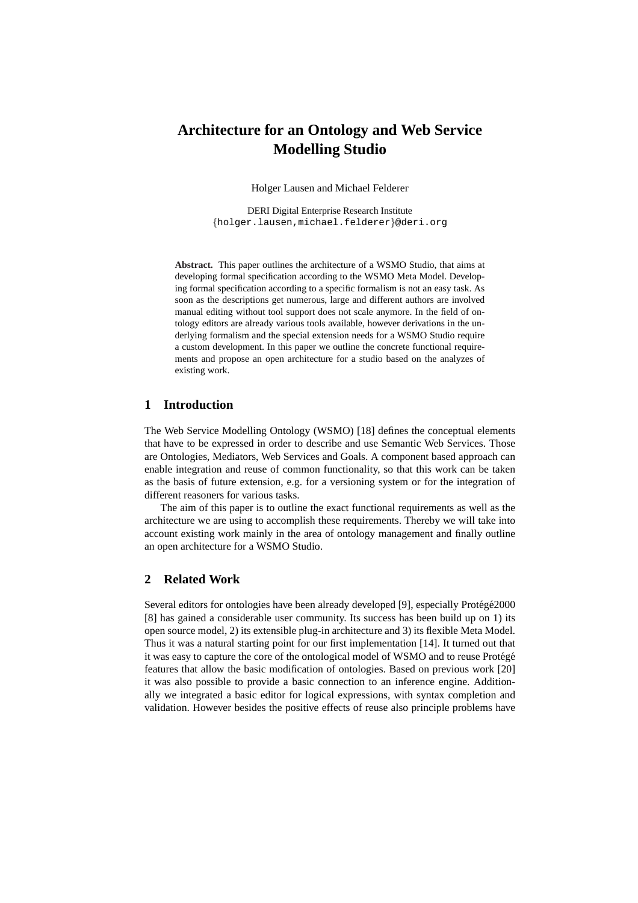# **Architecture for an Ontology and Web Service Modelling Studio**

Holger Lausen and Michael Felderer

DERI Digital Enterprise Research Institute {holger.lausen,michael.felderer}@deri.org

**Abstract.** This paper outlines the architecture of a WSMO Studio, that aims at developing formal specification according to the WSMO Meta Model. Developing formal specification according to a specific formalism is not an easy task. As soon as the descriptions get numerous, large and different authors are involved manual editing without tool support does not scale anymore. In the field of ontology editors are already various tools available, however derivations in the underlying formalism and the special extension needs for a WSMO Studio require a custom development. In this paper we outline the concrete functional requirements and propose an open architecture for a studio based on the analyzes of existing work.

## **1 Introduction**

The Web Service Modelling Ontology (WSMO) [18] defines the conceptual elements that have to be expressed in order to describe and use Semantic Web Services. Those are Ontologies, Mediators, Web Services and Goals. A component based approach can enable integration and reuse of common functionality, so that this work can be taken as the basis of future extension, e.g. for a versioning system or for the integration of different reasoners for various tasks.

The aim of this paper is to outline the exact functional requirements as well as the architecture we are using to accomplish these requirements. Thereby we will take into account existing work mainly in the area of ontology management and finally outline an open architecture for a WSMO Studio.

# **2 Related Work**

Several editors for ontologies have been already developed [9], especially Protégé 2000 [8] has gained a considerable user community. Its success has been build up on 1) its open source model, 2) its extensible plug-in architecture and 3) its flexible Meta Model. Thus it was a natural starting point for our first implementation [14]. It turned out that it was easy to capture the core of the ontological model of WSMO and to reuse Protégé features that allow the basic modification of ontologies. Based on previous work [20] it was also possible to provide a basic connection to an inference engine. Additionally we integrated a basic editor for logical expressions, with syntax completion and validation. However besides the positive effects of reuse also principle problems have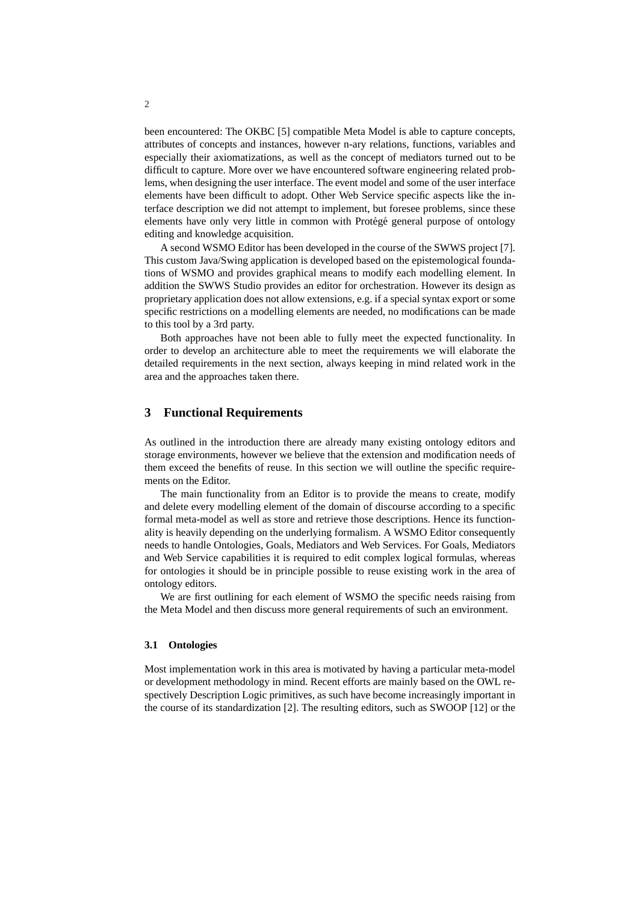<span id="page-1-0"></span>been encountered: The OKBC [5] compatible Meta Model is able to capture concepts, attributes of concepts and instances, however n-ary relations, functions, variables and especially their axiomatizations, as well as the concept of mediators turned out to be difficult to capture. More over we have encountered software engineering related problems, when designing the user interface. The event model and some of the user interface elements have been difficult to adopt. Other Web Service specific aspects like the interface description we did not attempt to implement, but foresee problems, since these elements have only very little in common with Protégé general purpose of ontology editing and knowledge acquisition.

A second WSMO Editor has been developed in the course of the SWWS project [7]. This custom Java/Swing application is developed based on the epistemological foundations of WSMO and provides graphical means to modify each modelling element. In addition the SWWS Studio provides an editor for orchestration. However its design as proprietary application does not allow extensions, e.g. if a special syntax export or some specific restrictions on a modelling elements are needed, no modifications can be made to this tool by a 3rd party.

Both approaches have not been able to fully meet the expected functionality. In order to develop an architecture able to meet the requirements we will elaborate the detailed requirements in the next section, always keeping in mind related work in the area and the approaches taken there.

## **3 Functional Requirements**

As outlined in the introduction there are already many existing ontology editors and storage environments, however we believe that the extension and modification needs of them exceed the benefits of reuse. In this section we will outline the specific requirements on the Editor.

The main functionality from an Editor is to provide the means to create, modify and delete every modelling element of the domain of discourse according to a specific formal meta-model as well as store and retrieve those descriptions. Hence its functionality is heavily depending on the underlying formalism. A WSMO Editor consequently needs to handle Ontologies, Goals, Mediators and Web Services. For Goals, Mediators and Web Service capabilities it is required to edit complex logical formulas, whereas for ontologies it should be in principle possible to reuse existing work in the area of ontology editors.

We are first outlining for each element of WSMO the specific needs raising from the Meta Model and then discuss more general requirements of such an environment.

#### **3.1 Ontologies**

Most implementation work in this area is motivated by having a particular meta-model or development methodology in mind. Recent efforts are mainly based on the OWL respectively Description Logic primitives, as such have become increasingly important in the course of its standardization [2]. The resulting editors, such as SWOOP [12] or the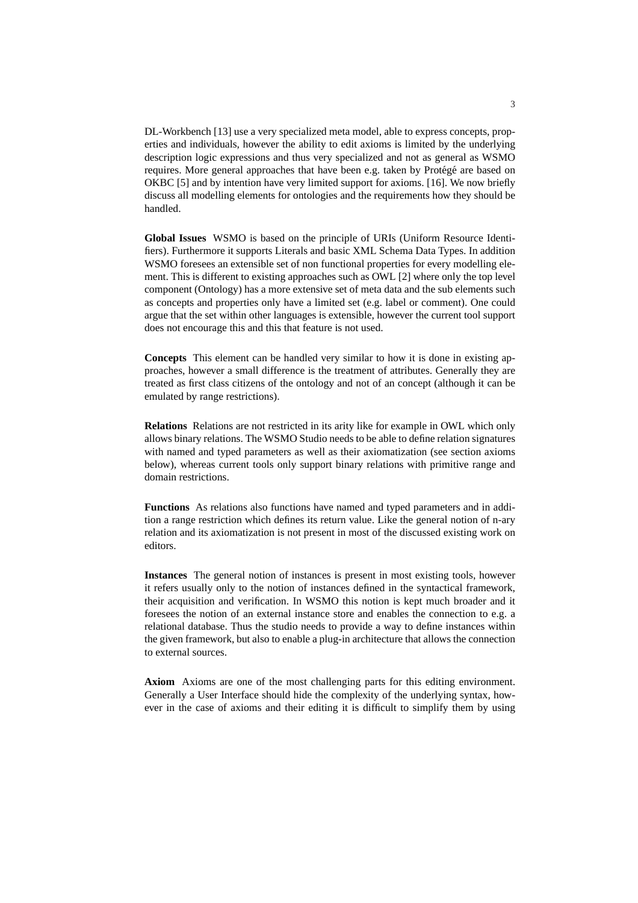<span id="page-2-0"></span>DL-Workbench [13] use a very specialized meta model, able to express concepts, properties and individuals, however the ability to edit axioms is limited by the underlying description logic expressions and thus very specialized and not as general as WSMO requires. More general approaches that have been e.g. taken by Protégé are based on OKBC [5] and by intention have very limited support for axioms. [16]. We now briefly discuss all modelling elements for ontologies and the requirements how they should be handled.

**Global Issues** WSMO is based on the principle of URIs (Uniform Resource Identifiers). Furthermore it supports Literals and basic XML Schema Data Types. In addition WSMO foresees an extensible set of non functional properties for every modelling element. This is different to existing approaches such as OWL [2] where only the top level component (Ontology) has a more extensive set of meta data and the sub elements such as concepts and properties only have a limited set (e.g. label or comment). One could argue that the set within other languages is extensible, however the current tool support does not encourage this and this that feature is not used.

**Concepts** This element can be handled very similar to how it is done in existing approaches, however a small difference is the treatment of attributes. Generally they are treated as first class citizens of the ontology and not of an concept (although it can be emulated by range restrictions).

**Relations** Relations are not restricted in its arity like for example in OWL which only allows binary relations. The WSMO Studio needs to be able to define relation signatures with named and typed parameters as well as their axiomatization (see section axioms below), whereas current tools only support binary relations with primitive range and domain restrictions.

**Functions** As relations also functions have named and typed parameters and in addition a range restriction which defines its return value. Like the general notion of n-ary relation and its axiomatization is not present in most of the discussed existing work on editors.

**Instances** The general notion of instances is present in most existing tools, however it refers usually only to the notion of instances defined in the syntactical framework, their acquisition and verification. In WSMO this notion is kept much broader and it foresees the notion of an external instance store and enables the connection to e.g. a relational database. Thus the studio needs to provide a way to define instances within the given framework, but also to enable a plug-in architecture that allows the connection to external sources.

**Axiom** Axioms are one of the most challenging parts for this editing environment. Generally a User Interface should hide the complexity of the underlying syntax, however in the case of axioms and their editing it is difficult to simplify them by using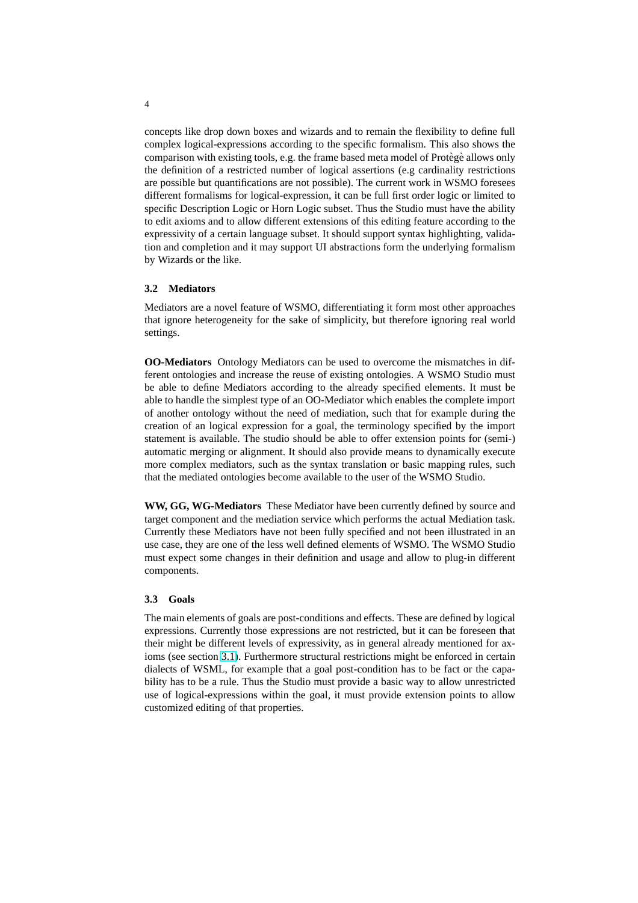concepts like drop down boxes and wizards and to remain the flexibility to define full complex logical-expressions according to the specific formalism. This also shows the comparison with existing tools, e.g. the frame based meta model of Protege allows only the definition of a restricted number of logical assertions (e.g cardinality restrictions are possible but quantifications are not possible). The current work in WSMO foresees different formalisms for logical-expression, it can be full first order logic or limited to specific Description Logic or Horn Logic subset. Thus the Studio must have the ability to edit axioms and to allow different extensions of this editing feature according to the expressivity of a certain language subset. It should support syntax highlighting, validation and completion and it may support UI abstractions form the underlying formalism by Wizards or the like.

## **3.2 Mediators**

Mediators are a novel feature of WSMO, differentiating it form most other approaches that ignore heterogeneity for the sake of simplicity, but therefore ignoring real world settings.

**OO-Mediators** Ontology Mediators can be used to overcome the mismatches in different ontologies and increase the reuse of existing ontologies. A WSMO Studio must be able to define Mediators according to the already specified elements. It must be able to handle the simplest type of an OO-Mediator which enables the complete import of another ontology without the need of mediation, such that for example during the creation of an logical expression for a goal, the terminology specified by the import statement is available. The studio should be able to offer extension points for (semi-) automatic merging or alignment. It should also provide means to dynamically execute more complex mediators, such as the syntax translation or basic mapping rules, such that the mediated ontologies become available to the user of the WSMO Studio.

**WW, GG, WG-Mediators** These Mediator have been currently defined by source and target component and the mediation service which performs the actual Mediation task. Currently these Mediators have not been fully specified and not been illustrated in an use case, they are one of the less well defined elements of WSMO. The WSMO Studio must expect some changes in their definition and usage and allow to plug-in different components.

#### **3.3 Goals**

The main elements of goals are post-conditions and effects. These are defined by logical expressions. Currently those expressions are not restricted, but it can be foreseen that their might be different levels of expressivity, as in general already mentioned for axioms (see section 3.1). Furthermore structural restrictions might be enforced in certain dialects of WSML, for example that a goal post-condition has to be fact or the capability has to be a rule. Thus the Studio must provide a basic way to allow unrestricted use of logical-expressions within the goal, it must provide extension points to allow customized editin[g of](#page-2-0) that properties.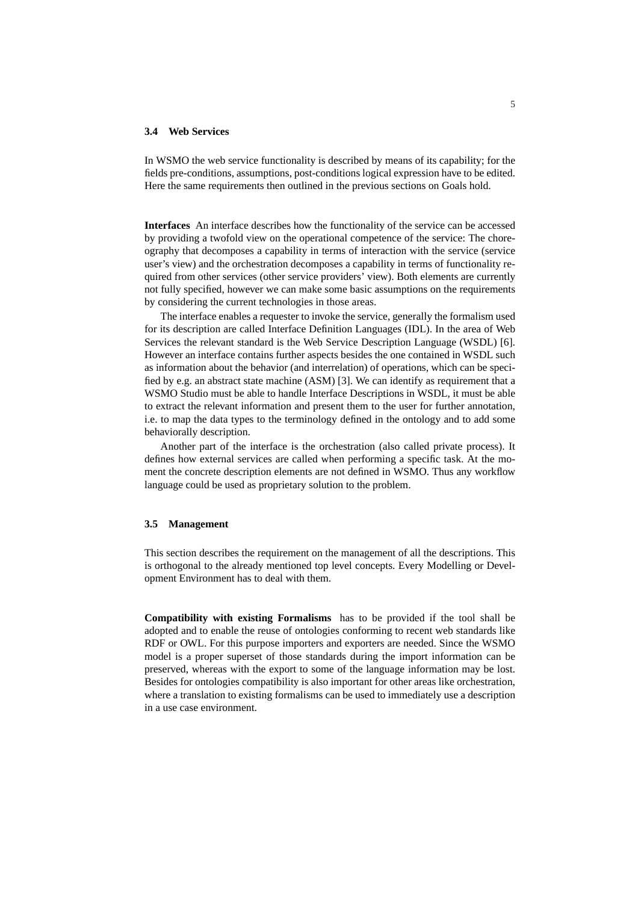#### **3.4 Web Services**

In WSMO the web service functionality is described by means of its capability; for the fields pre-conditions, assumptions, post-conditions logical expression have to be edited. Here the same requirements then outlined in the previous sections on Goals hold.

**Interfaces** An interface describes how the functionality of the service can be accessed by providing a twofold view on the operational competence of the service: The choreography that decomposes a capability in terms of interaction with the service (service user's view) and the orchestration decomposes a capability in terms of functionality required from other services (other service providers' view). Both elements are currently not fully specified, however we can make some basic assumptions on the requirements by considering the current technologies in those areas.

The interface enables a requester to invoke the service, generally the formalism used for its description are called Interface Definition Languages (IDL). In the area of Web Services the relevant standard is the Web Service Description Language (WSDL) [6]. However an interface contains further aspects besides the one contained in WSDL such as information about the behavior (and interrelation) of operations, which can be specified by e.g. an abstract state machine (ASM) [3]. We can identify as requirement that a WSMO Studio must be able to handle Interface Descriptions in WSDL, it must be able to extract the relevant information and present them to the user for further annotation, i.e. to map the data types to the terminology defined in the ontology and to add some behaviorally description.

Another part of the interface is the orchestration (also called private process). It defines how external services are called when performing a specific task. At the moment the concrete description elements are not defined in WSMO. Thus any workflow language could be used as proprietary solution to the problem.

## **3.5 Management**

This section describes the requirement on the management of all the descriptions. This is orthogonal to the already mentioned top level concepts. Every Modelling or Development Environment has to deal with them.

**Compatibility with existing Formalisms** has to be provided if the tool shall be adopted and to enable the reuse of ontologies conforming to recent web standards like RDF or OWL. For this purpose importers and exporters are needed. Since the WSMO model is a proper superset of those standards during the import information can be preserved, whereas with the export to some of the language information may be lost. Besides for ontologies compatibility is also important for other areas like orchestration, where a translation to existing formalisms can be used to immediately use a description in a use case environment.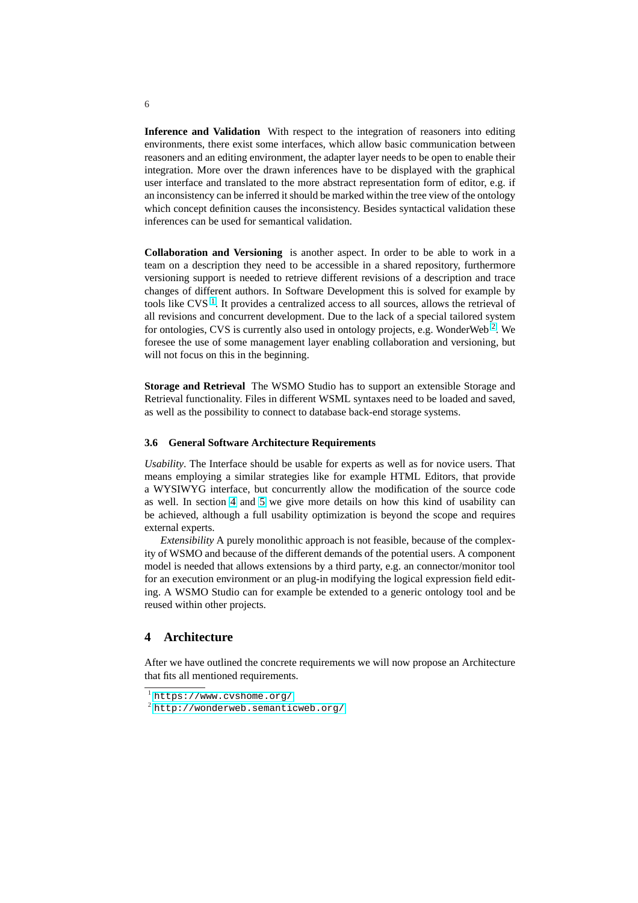**Inference and Validation** With respect to the integration of reasoners into editing environments, there exist some interfaces, which allow basic communication between reasoners and an editing environment, the adapter layer needs to be open to enable their integration. More over the drawn inferences have to be displayed with the graphical user interface and translated to the more abstract representation form of editor, e.g. if an inconsistency can be inferred it should be marked within the tree view of the ontology which concept definition causes the inconsistency. Besides syntactical validation these inferences can be used for semantical validation.

**Collaboration and Versioning** is another aspect. In order to be able to work in a team on a description they need to be accessible in a shared repository, furthermore versioning support is needed to retrieve different revisions of a description and trace changes of different authors. In Software Development this is solved for example by tools like CVS<sup> $1$ </sup>. It provides a centralized access to all sources, allows the retrieval of all revisions and concurrent development. Due to the lack of a special tailored system for ontologies, CVS is currently also used in ontology projects, e.g. WonderWeb<sup>2</sup>. We foresee the use of some management layer enabling collaboration and versioning, but will not focus on this in the beginning.

**Storage and Retrieval** The WSMO Studio has to support an extensible Storage and Retrieval functionality. Files in different WSML syntaxes need to be loaded and saved, as well as the possibility to connect to database back-end storage systems.

#### **3.6 General Software Architecture Requirements**

*Usability*. The Interface should be usable for experts as well as for novice users. That means employing a similar strategies like for example HTML Editors, that provide a WYSIWYG interface, but concurrently allow the modification of the source code as well. In section 4 and 5 we give more details on how this kind of usability can be achieved, although a full usability optimization is beyond the scope and requires external experts.

*Extensibility* A purely monolithic approach is not feasible, because of the complexity of WSMO and because [of](#page-6-0) the different demands of the potential users. A component model is needed that allows extensions by a third party, e.g. an connector/monitor tool for an execution environment or an plug-in modifying the logical expression field editing. A WSMO Studio can for example be extended to a generic ontology tool and be reused within other projects.

# **4 Architecture**

After we have outlined the concrete requirements we will now propose an Architecture that fits all mentioned requirements.

<sup>1</sup> https://www.cvshome.org/

<sup>2</sup> http://wonderweb.semanticweb.org/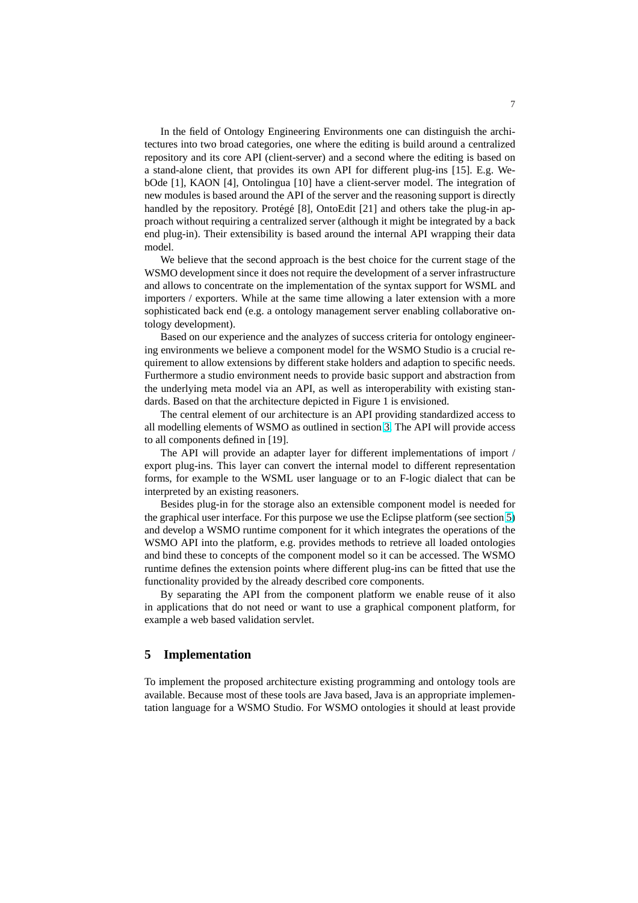<span id="page-6-0"></span>In the field of Ontology Engineering Environments one can distinguish the architectures into two broad categories, one where the editing is build around a centralized repository and its core API (client-server) and a second where the editing is based on a stand-alone client, that provides its own API for different plug-ins [15]. E.g. WebOde [1], KAON [4], Ontolingua [10] have a client-server model. The integration of new modules is based around the API of the server and the reasoning support is directly handled by the repository. Protégé [8], OntoEdit [21] and others take the plug-in approach without requiring a centralized server (although it might be integrated by a back end plug-in). Their extensibility is based around the internal API wrapping their data model.

We believe that the second approach is the best choice for the current stage of the WSMO development since it does not require the development of a server infrastructure and allows to concentrate on the implementation of the syntax support for WSML and importers / exporters. While at the same time allowing a later extension with a more sophisticated back end (e.g. a ontology management server enabling collaborative ontology development).

Based on our experience and the analyzes of success criteria for ontology engineering environments we believe a component model for the WSMO Studio is a crucial requirement to allow extensions by different stake holders and adaption to specific needs. Furthermore a studio environment needs to provide basic support and abstraction from the underlying meta model via an API, as well as interoperability with existing standards. Based on that the architecture depicted in Figure 1 is envisioned.

The central element of our architecture is an API providing standardized access to all modelling elements of WSMO as outlined in section 3. The API will provide access to all components defined in [19].

The API will provide an adapter layer for different implementations of import / export plug-ins. This layer can convert the internal model to different representation forms, for example to the WSML user language or to [a](#page-1-0)n F-logic dialect that can be interpreted by an existing reasoners.

Besides plug-in for the storage also an extensible component model is needed for the graphical user interface. For this purpose we use the Eclipse platform (see section 5) and develop a WSMO runtime component for it which integrates the operations of the WSMO API into the platform, e.g. provides methods to retrieve all loaded ontologies and bind these to concepts of the component model so it can be accessed. The WSMO runtime defines the extension points where different plug-ins can be fitted that use the functionality provided by the already described core components.

By separating the API from the component platform we enable reuse of it also in applications that do not need or want to use a graphical component platform, for example a web based validation servlet.

## **5 Implementation**

To implement the proposed architecture existing programming and ontology tools are available. Because most of these tools are Java based, Java is an appropriate implementation language for a WSMO Studio. For WSMO ontologies it should at least provide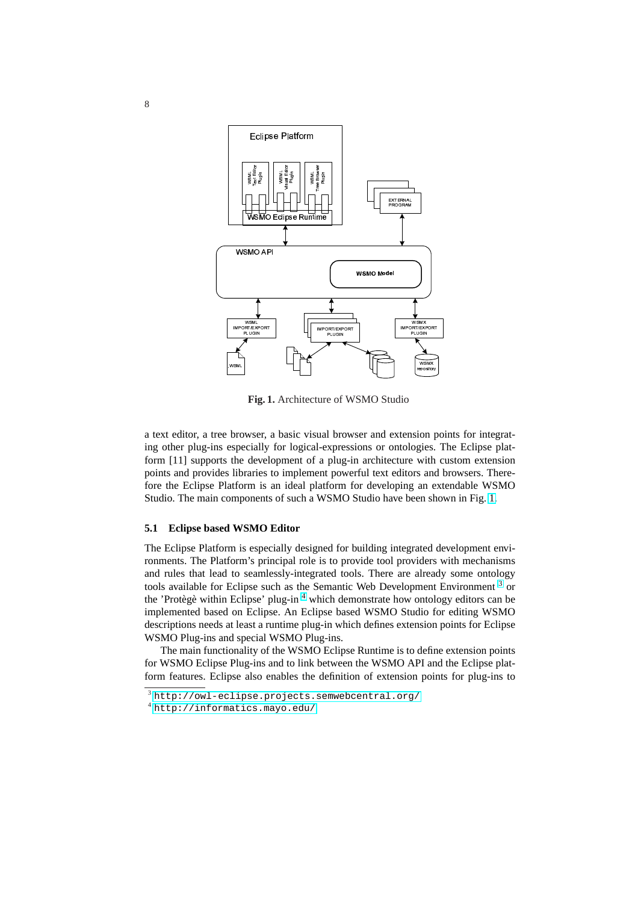

**Fig. 1.** Architecture of WSMO Studio

a text editor, a tree browser, a basic visual browser and extension points for integrating other plug-ins especially for logical-expressions or ontologies. The Eclipse platform [11] supports the development of a plug-in architecture with custom extension points and provides libraries to implement powerful text editors and browsers. Therefore the Eclipse Platform is an ideal platform for developing an extendable WSMO Studio. The main components of such a WSMO Studio have been shown in Fig. 1.

## **5.1 Eclipse based WSMO Editor**

The Eclipse Platform is especially designed for building integrated development environments. The Platform's principal role is to provide tool providers with mechanisms and rules that lead to seamlessly-integrated tools. There are already some ontology tools available for Eclipse such as the Semantic Web Development Environment<sup>3</sup> or the 'Protègè within Eclipse' plug-in<sup>4</sup> which demonstrate how ontology editors can be implemented based on Eclipse. An Eclipse based WSMO Studio for editing WSMO descriptions needs at least a runtime plug-in which defines extension points for Eclipse WSMO Plug-ins and special WSMO Plug-ins.

The main functionality of the WSMO Eclipse Runtime is to define extension points for WSMO Eclipse Plug-ins and to link between the WSMO API and the Eclipse platform features. Eclipse also enables the definition of extension points for plug-ins to

 $3$  http://owl-eclipse.projects.semwebcentral.org/

<sup>4</sup> http://informatics.mayo.edu/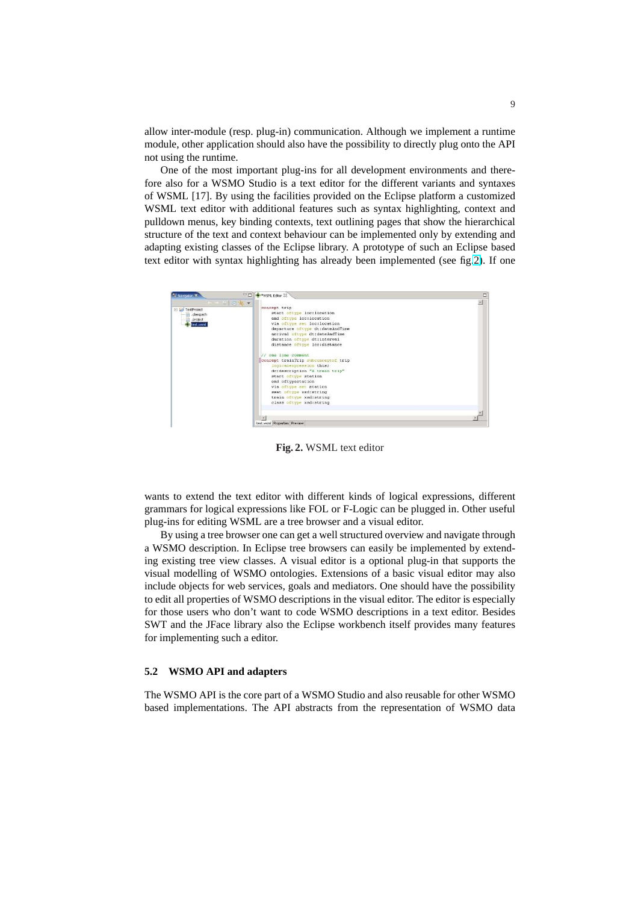allow inter-module (resp. plug-in) communication. Although we implement a runtime module, other application should also have the possibility to directly plug onto the API not using the runtime.

One of the most important plug-ins for all development environments and therefore also for a WSMO Studio is a text editor for the different variants and syntaxes of WSML [17]. By using the facilities provided on the Eclipse platform a customized WSML text editor with additional features such as syntax highlighting, context and pulldown menus, key binding contexts, text outlining pages that show the hierarchical structure of the text and context behaviour can be implemented only by extending and adapting existing classes of the Eclipse library. A prototype of such an Eclipse based text editor with syntax highlighting has already been implemented (see fig.2). If one



**Fig. 2.** WSML text editor

wants to extend the text editor with different kinds of logical expressions, different grammars for logical expressions like FOL or F-Logic can be plugged in. Other useful plug-ins for editing WSML are a tree browser and a visual editor.

By using a tree browser one can get a well structured overview and navigate through a WSMO description. In Eclipse tree browsers can easily be implemented by extending existing tree view classes. A visual editor is a optional plug-in that supports the visual modelling of WSMO ontologies. Extensions of a basic visual editor may also include objects for web services, goals and mediators. One should have the possibility to edit all properties of WSMO descriptions in the visual editor. The editor is especially for those users who don't want to code WSMO descriptions in a text editor. Besides SWT and the JFace library also the Eclipse workbench itself provides many features for implementing such a editor.

## **5.2 WSMO API and adapters**

The WSMO API is the core part of a WSMO Studio and also reusable for other WSMO based implementations. The API abstracts from the representation of WSMO data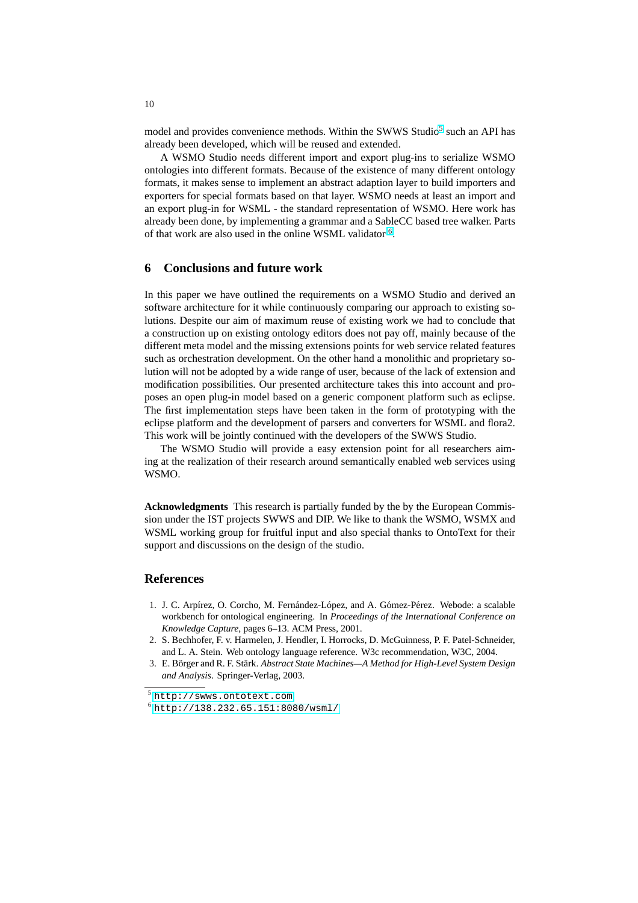model and provides convenience methods. Within the SWWS Studio<sup>5</sup> such an API has already been developed, which will be reused and extended.

A WSMO Studio needs different import and export plug-ins to serialize WSMO ontologies into different formats. Because of the existence of many different ontology formats, it makes sense to implement an abstract adaption layer to build importers and exporters for special formats based on that layer. WSMO needs at least an import and an export plug-in for WSML - the standard representation of WSMO. Here work has already been done, by implementing a grammar and a SableCC based tree walker. Parts of that work are also used in the online WSML validator <sup>6</sup>.

## **6 Conclusions and future work**

In this paper we have outlined the requirements on a WSMO Studio and derived an software architecture for it while continuously comparing our approach to existing solutions. Despite our aim of maximum reuse of existing work we had to conclude that a construction up on existing ontology editors does not pay off, mainly because of the different meta model and the missing extensions points for web service related features such as orchestration development. On the other hand a monolithic and proprietary solution will not be adopted by a wide range of user, because of the lack of extension and modification possibilities. Our presented architecture takes this into account and proposes an open plug-in model based on a generic component platform such as eclipse. The first implementation steps have been taken in the form of prototyping with the eclipse platform and the development of parsers and converters for WSML and flora2. This work will be jointly continued with the developers of the SWWS Studio.

The WSMO Studio will provide a easy extension point for all researchers aiming at the realization of their research around semantically enabled web services using WSMO.

Acknowledgments This research is partially funded by the by the European Commission under the IST projects SWWS and DIP. We like to thank the WSMO, WSMX and WSML working group for fruitful input and also special thanks to OntoText for their support and discussions on the design of the studio.

## **References**

- 1. J. C. Arpírez, O. Corcho, M. Fernández-López, and A. Gómez-Pérez. Webode: a scalable workbench for ontological engineering. In *Proceedings of the International Conference on Knowledge Capture*, pages 6–13. ACM Press, 2001.
- 2. S. Bechhofer, F. v. Harmelen, J. Hendler, I. Horrocks, D. McGuinness, P. F. Patel-Schneider, and L. A. Stein. Web ontology language reference. W3c recommendation, W3C, 2004.
- 3. E. Börger and R. F. Stärk. Abstract State Machines—A Method for High-Level System Design *and Analysis*. Springer-Verlag, 2003.

<sup>5</sup> http://swws.ontotext.com

 $6$  http://138.232.65.151:8080/wsml/